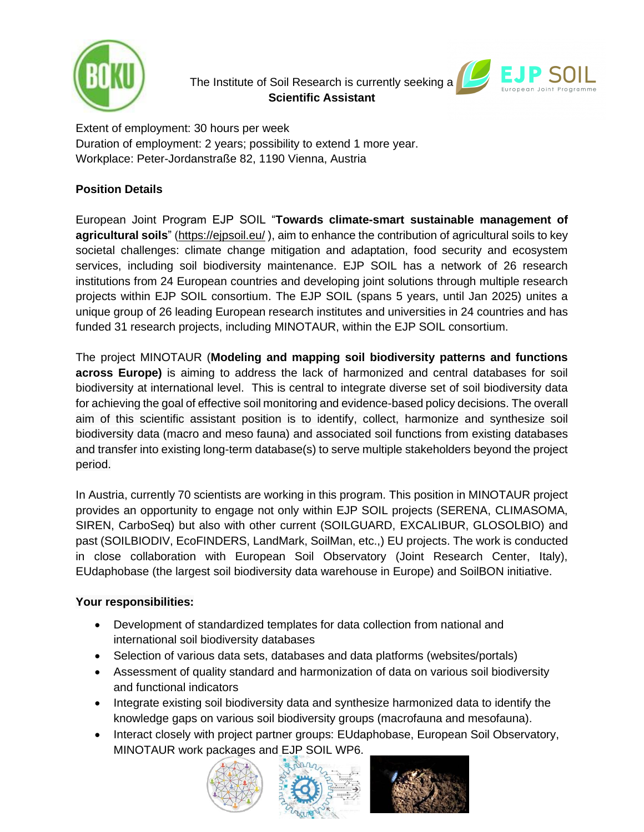

# The Institute of Soil Research is currently seeking a **Scientific Assistant**



Extent of employment: 30 hours per week Duration of employment: 2 years; possibility to extend 1 more year. Workplace: Peter-Jordanstraße 82, 1190 Vienna, Austria

## **Position Details**

European Joint Program EJP SOIL "**Towards climate-smart sustainable management of agricultural soils**" [\(https://ejpsoil.eu/](https://ejpsoil.eu/) ), aim to enhance the contribution of agricultural soils to key societal challenges: climate change mitigation and adaptation, food security and ecosystem services, including soil biodiversity maintenance. EJP SOIL has a network of 26 research institutions from 24 European countries and developing joint solutions through multiple research projects within EJP SOIL consortium. The EJP SOIL (spans 5 years, until Jan 2025) unites a unique group of 26 leading European research institutes and universities in 24 countries and has funded 31 research projects, including MINOTAUR, within the EJP SOIL consortium.

The project MINOTAUR (**Modeling and mapping soil biodiversity patterns and functions across Europe)** is aiming to address the lack of harmonized and central databases for soil biodiversity at international level. This is central to integrate diverse set of soil biodiversity data for achieving the goal of effective soil monitoring and evidence-based policy decisions. The overall aim of this scientific assistant position is to identify, collect, harmonize and synthesize soil biodiversity data (macro and meso fauna) and associated soil functions from existing databases and transfer into existing long-term database(s) to serve multiple stakeholders beyond the project period.

In Austria, currently 70 scientists are working in this program. This position in MINOTAUR project provides an opportunity to engage not only within EJP SOIL projects (SERENA, CLIMASOMA, SIREN, CarboSeq) but also with other current (SOILGUARD, EXCALIBUR, GLOSOLBIO) and past (SOILBIODIV, EcoFINDERS, LandMark, SoilMan, etc.,) EU projects. The work is conducted in close collaboration with European Soil Observatory (Joint Research Center, Italy), EUdaphobase (the largest soil biodiversity data warehouse in Europe) and SoilBON initiative.

### **Your responsibilities:**

- Development of standardized templates for data collection from national and international soil biodiversity databases
- Selection of various data sets, databases and data platforms (websites/portals)
- Assessment of quality standard and harmonization of data on various soil biodiversity and functional indicators
- Integrate existing soil biodiversity data and synthesize harmonized data to identify the knowledge gaps on various soil biodiversity groups (macrofauna and mesofauna).
- Interact closely with project partner groups: EUdaphobase, European Soil Observatory, MINOTAUR work packages and EJP SOIL WP6.